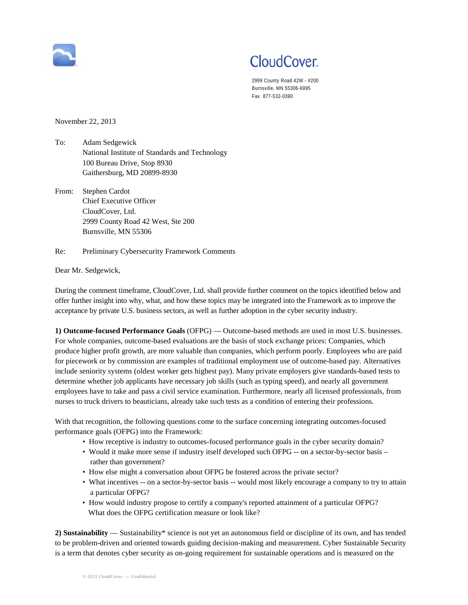

## CloudCover.

2999 County Road 42W - #200 Burnsville, MN 55306-6995 Fax 877-532-0390

November 22, 2013

- To: Adam Sedgewick National Institute of Standards and Technology 100 Bureau Drive, Stop 8930 Gaithersburg, MD 20899-8930
- From: Stephen Cardot Chief Executive Officer CloudCover, Ltd. 2999 County Road 42 West, Ste 200 Burnsville, MN 55306

Re: Preliminary Cybersecurity Framework Comments

Dear Mr. Sedgewick,

During the comment timeframe, CloudCover, Ltd. shall provide further comment on the topics identified below and offer further insight into why, what, and how these topics may be integrated into the Framework as to improve the acceptance by private U.S. business sectors, as well as further adoption in the cyber security industry.

**1) Outcome-focused Performance Goals** (OFPG) — Outcome-based methods are used in most U.S. businesses. For whole companies, outcome-based evaluations are the basis of stock exchange prices: Companies, which produce higher profit growth, are more valuable than companies, which perform poorly. Employees who are paid for piecework or by commission are examples of traditional employment use of outcome-based pay. Alternatives include seniority systems (oldest worker gets highest pay). Many private employers give standards-based tests to determine whether job applicants have necessary job skills (such as typing speed), and nearly all government employees have to take and pass a civil service examination. Furthermore, nearly all licensed professionals, from nurses to truck drivers to beauticians, already take such tests as a condition of entering their professions.

With that recognition, the following questions come to the surface concerning integrating outcomes-focused performance goals (OFPG) into the Framework:

- How receptive is industry to outcomes-focused performance goals in the cyber security domain?
- Would it make more sense if industry itself developed such OFPG -- on a sector-by-sector basis rather than government?
- How else might a conversation about OFPG be fostered across the private sector?
- What incentives -- on a sector-by-sector basis -- would most likely encourage a company to try to attain a particular OFPG?
- How would industry propose to certify a company's reported attainment of a particular OFPG? What does the OFPG certification measure or look like?

**2) Sustainability** — Sustainability\* science is not yet an autonomous field or discipline of its own, and has tended to be problem-driven and oriented towards guiding decision-making and measurement. Cyber Sustainable Security is a term that denotes cyber security as on-going requirement for sustainable operations and is measured on the